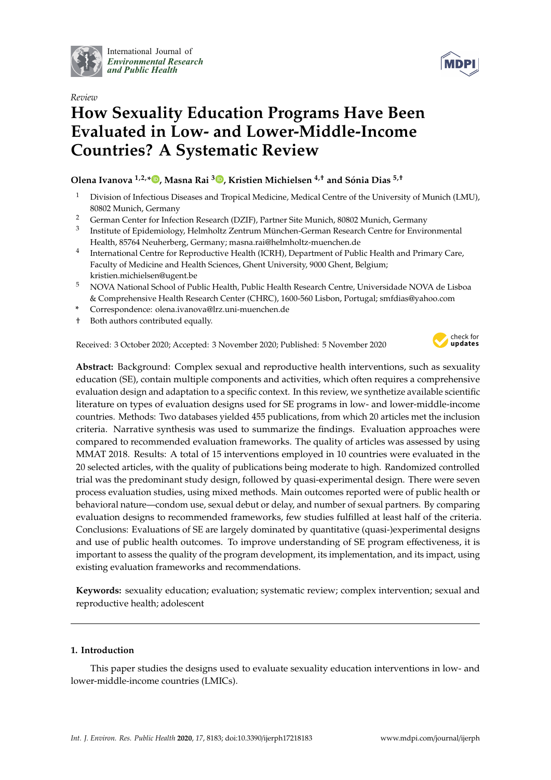

International Journal of *[Environmental Research](http://www.mdpi.com/journal/ijerph) and Public Health*



# *Review* **How Sexuality Education Programs Have Been Evaluated in Low- and Lower-Middle-Income Countries? A Systematic Review**

**Olena Ivanova 1,2,\* [,](https://orcid.org/0000-0002-8276-7891) Masna Rai <sup>3</sup> [,](https://orcid.org/0000-0003-1760-6597) Kristien Michielsen 4,**† **and Sónia Dias 5,**†

- <sup>1</sup> Division of Infectious Diseases and Tropical Medicine, Medical Centre of the University of Munich (LMU), 80802 Munich, Germany
- <sup>2</sup> German Center for Infection Research (DZIF), Partner Site Munich, 80802 Munich, Germany
- 3 Institute of Epidemiology, Helmholtz Zentrum München-German Research Centre for Environmental Health, 85764 Neuherberg, Germany; masna.rai@helmholtz-muenchen.de
- 4 International Centre for Reproductive Health (ICRH), Department of Public Health and Primary Care, Faculty of Medicine and Health Sciences, Ghent University, 9000 Ghent, Belgium; kristien.michielsen@ugent.be
- <sup>5</sup> NOVA National School of Public Health, Public Health Research Centre, Universidade NOVA de Lisboa & Comprehensive Health Research Center (CHRC), 1600-560 Lisbon, Portugal; smfdias@yahoo.com
- **\*** Correspondence: olena.ivanova@lrz.uni-muenchen.de
- † Both authors contributed equally.

Received: 3 October 2020; Accepted: 3 November 2020; Published: 5 November 2020



**Abstract:** Background: Complex sexual and reproductive health interventions, such as sexuality education (SE), contain multiple components and activities, which often requires a comprehensive evaluation design and adaptation to a specific context. In this review, we synthetize available scientific literature on types of evaluation designs used for SE programs in low- and lower-middle-income countries. Methods: Two databases yielded 455 publications, from which 20 articles met the inclusion criteria. Narrative synthesis was used to summarize the findings. Evaluation approaches were compared to recommended evaluation frameworks. The quality of articles was assessed by using MMAT 2018. Results: A total of 15 interventions employed in 10 countries were evaluated in the 20 selected articles, with the quality of publications being moderate to high. Randomized controlled trial was the predominant study design, followed by quasi-experimental design. There were seven process evaluation studies, using mixed methods. Main outcomes reported were of public health or behavioral nature—condom use, sexual debut or delay, and number of sexual partners. By comparing evaluation designs to recommended frameworks, few studies fulfilled at least half of the criteria. Conclusions: Evaluations of SE are largely dominated by quantitative (quasi-)experimental designs and use of public health outcomes. To improve understanding of SE program effectiveness, it is important to assess the quality of the program development, its implementation, and its impact, using existing evaluation frameworks and recommendations.

**Keywords:** sexuality education; evaluation; systematic review; complex intervention; sexual and reproductive health; adolescent

# **1. Introduction**

This paper studies the designs used to evaluate sexuality education interventions in low- and lower-middle-income countries (LMICs).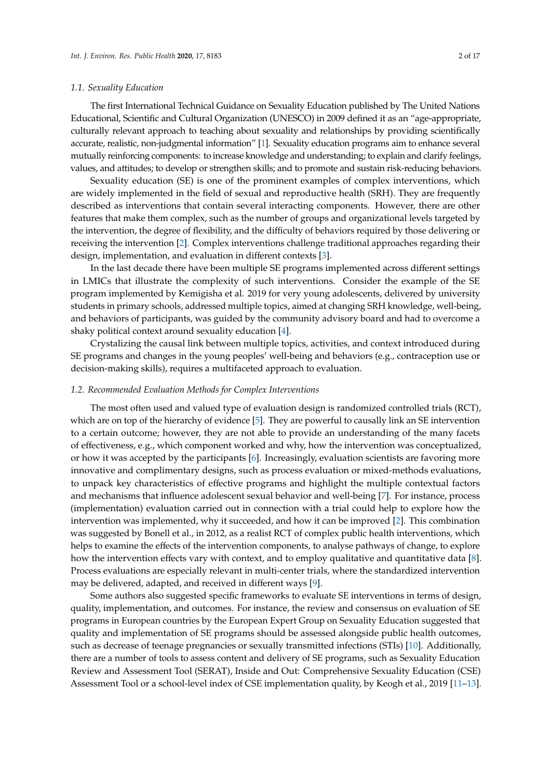#### *1.1. Sexuality Education*

The first International Technical Guidance on Sexuality Education published by The United Nations Educational, Scientific and Cultural Organization (UNESCO) in 2009 defined it as an "age-appropriate, culturally relevant approach to teaching about sexuality and relationships by providing scientifically accurate, realistic, non-judgmental information" [\[1\]](#page-14-0). Sexuality education programs aim to enhance several mutually reinforcing components: to increase knowledge and understanding; to explain and clarify feelings, values, and attitudes; to develop or strengthen skills; and to promote and sustain risk-reducing behaviors.

Sexuality education (SE) is one of the prominent examples of complex interventions, which are widely implemented in the field of sexual and reproductive health (SRH). They are frequently described as interventions that contain several interacting components. However, there are other features that make them complex, such as the number of groups and organizational levels targeted by the intervention, the degree of flexibility, and the difficulty of behaviors required by those delivering or receiving the intervention [\[2\]](#page-14-1). Complex interventions challenge traditional approaches regarding their design, implementation, and evaluation in different contexts [\[3\]](#page-14-2).

In the last decade there have been multiple SE programs implemented across different settings in LMICs that illustrate the complexity of such interventions. Consider the example of the SE program implemented by Kemigisha et al. 2019 for very young adolescents, delivered by university students in primary schools, addressed multiple topics, aimed at changing SRH knowledge, well-being, and behaviors of participants, was guided by the community advisory board and had to overcome a shaky political context around sexuality education [\[4\]](#page-14-3).

Crystalizing the causal link between multiple topics, activities, and context introduced during SE programs and changes in the young peoples' well-being and behaviors (e.g., contraception use or decision-making skills), requires a multifaceted approach to evaluation.

#### *1.2. Recommended Evaluation Methods for Complex Interventions*

The most often used and valued type of evaluation design is randomized controlled trials (RCT), which are on top of the hierarchy of evidence [\[5\]](#page-14-4). They are powerful to causally link an SE intervention to a certain outcome; however, they are not able to provide an understanding of the many facets of effectiveness, e.g., which component worked and why, how the intervention was conceptualized, or how it was accepted by the participants [\[6\]](#page-14-5). Increasingly, evaluation scientists are favoring more innovative and complimentary designs, such as process evaluation or mixed-methods evaluations, to unpack key characteristics of effective programs and highlight the multiple contextual factors and mechanisms that influence adolescent sexual behavior and well-being [\[7\]](#page-14-6). For instance, process (implementation) evaluation carried out in connection with a trial could help to explore how the intervention was implemented, why it succeeded, and how it can be improved [\[2\]](#page-14-1). This combination was suggested by Bonell et al., in 2012, as a realist RCT of complex public health interventions, which helps to examine the effects of the intervention components, to analyse pathways of change, to explore how the intervention effects vary with context, and to employ qualitative and quantitative data [\[8\]](#page-14-7). Process evaluations are especially relevant in multi-center trials, where the standardized intervention may be delivered, adapted, and received in different ways [\[9\]](#page-14-8).

Some authors also suggested specific frameworks to evaluate SE interventions in terms of design, quality, implementation, and outcomes. For instance, the review and consensus on evaluation of SE programs in European countries by the European Expert Group on Sexuality Education suggested that quality and implementation of SE programs should be assessed alongside public health outcomes, such as decrease of teenage pregnancies or sexually transmitted infections (STIs) [\[10\]](#page-14-9). Additionally, there are a number of tools to assess content and delivery of SE programs, such as Sexuality Education Review and Assessment Tool (SERAT), Inside and Out: Comprehensive Sexuality Education (CSE) Assessment Tool or a school-level index of CSE implementation quality, by Keogh et al., 2019 [\[11–](#page-14-10)[13\]](#page-14-11).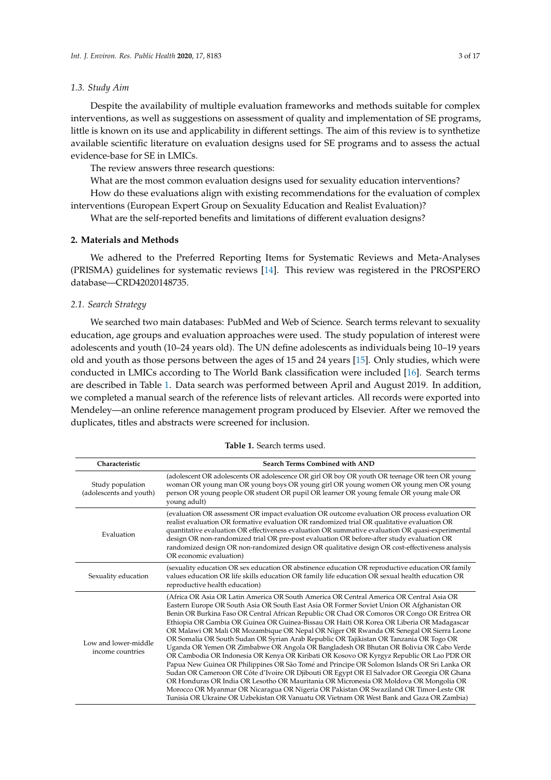#### *1.3. Study Aim*

Despite the availability of multiple evaluation frameworks and methods suitable for complex interventions, as well as suggestions on assessment of quality and implementation of SE programs, little is known on its use and applicability in different settings. The aim of this review is to synthetize available scientific literature on evaluation designs used for SE programs and to assess the actual evidence-base for SE in LMICs.

The review answers three research questions:

What are the most common evaluation designs used for sexuality education interventions?

How do these evaluations align with existing recommendations for the evaluation of complex interventions (European Expert Group on Sexuality Education and Realist Evaluation)?

What are the self-reported benefits and limitations of different evaluation designs?

# **2. Materials and Methods**

We adhered to the Preferred Reporting Items for Systematic Reviews and Meta-Analyses (PRISMA) guidelines for systematic reviews [\[14\]](#page-14-12). This review was registered in the PROSPERO database—CRD42020148735.

## *2.1. Search Strategy*

We searched two main databases: PubMed and Web of Science. Search terms relevant to sexuality education, age groups and evaluation approaches were used. The study population of interest were adolescents and youth (10–24 years old). The UN define adolescents as individuals being 10–19 years old and youth as those persons between the ages of 15 and 24 years [\[15\]](#page-14-13). Only studies, which were conducted in LMICs according to The World Bank classification were included [\[16\]](#page-14-14). Search terms are described in Table [1.](#page-2-0) Data search was performed between April and August 2019. In addition, we completed a manual search of the reference lists of relevant articles. All records were exported into Mendeley—an online reference management program produced by Elsevier. After we removed the duplicates, titles and abstracts were screened for inclusion.

<span id="page-2-0"></span>

| Characteristic                              | <b>Search Terms Combined with AND</b>                                                                                                                                                                                                                                                                                                                                                                                                                                                                                                                                                                                                                                                                                                                                                                                                                                                                                                                                                                                                                                                                                                                                                                                              |
|---------------------------------------------|------------------------------------------------------------------------------------------------------------------------------------------------------------------------------------------------------------------------------------------------------------------------------------------------------------------------------------------------------------------------------------------------------------------------------------------------------------------------------------------------------------------------------------------------------------------------------------------------------------------------------------------------------------------------------------------------------------------------------------------------------------------------------------------------------------------------------------------------------------------------------------------------------------------------------------------------------------------------------------------------------------------------------------------------------------------------------------------------------------------------------------------------------------------------------------------------------------------------------------|
| Study population<br>(adolescents and youth) | (adolescent OR adolescents OR adolescence OR girl OR boy OR youth OR teenage OR teen OR young<br>woman OR young man OR young boys OR young girl OR young women OR young men OR young<br>person OR young people OR student OR pupil OR learner OR young female OR young male OR<br>young adult)                                                                                                                                                                                                                                                                                                                                                                                                                                                                                                                                                                                                                                                                                                                                                                                                                                                                                                                                     |
| Evaluation                                  | (evaluation OR assessment OR impact evaluation OR outcome evaluation OR process evaluation OR<br>realist evaluation OR formative evaluation OR randomized trial OR qualitative evaluation OR<br>quantitative evaluation OR effectiveness evaluation OR summative evaluation OR quasi-experimental<br>design OR non-randomized trial OR pre-post evaluation OR before-after study evaluation OR<br>randomized design OR non-randomized design OR qualitative design OR cost-effectiveness analysis<br>OR economic evaluation)                                                                                                                                                                                                                                                                                                                                                                                                                                                                                                                                                                                                                                                                                                       |
| Sexuality education                         | (sexuality education OR sex education OR abstinence education OR reproductive education OR family<br>values education OR life skills education OR family life education OR sexual health education OR<br>reproductive health education)                                                                                                                                                                                                                                                                                                                                                                                                                                                                                                                                                                                                                                                                                                                                                                                                                                                                                                                                                                                            |
| Low and lower-middle<br>income countries    | (Africa OR Asia OR Latin America OR South America OR Central America OR Central Asia OR<br>Eastern Europe OR South Asia OR South East Asia OR Former Soviet Union OR Afghanistan OR<br>Benin OR Burkina Faso OR Central African Republic OR Chad OR Comoros OR Congo OR Eritrea OR<br>Ethiopia OR Gambia OR Guinea OR Guinea-Bissau OR Haiti OR Korea OR Liberia OR Madagascar<br>OR Malawi OR Mali OR Mozambique OR Nepal OR Niger OR Rwanda OR Senegal OR Sierra Leone<br>OR Somalia OR South Sudan OR Syrian Arab Republic OR Tajikistan OR Tanzania OR Togo OR<br>Uganda OR Yemen OR Zimbabwe OR Angola OR Bangladesh OR Bhutan OR Bolivia OR Cabo Verde<br>OR Cambodia OR Indonesia OR Kenya OR Kiribati OR Kosovo OR Kyrgyz Republic OR Lao PDR OR<br>Papua New Guinea OR Philippines OR São Tomé and Principe OR Solomon Islands OR Sri Lanka OR<br>Sudan OR Cameroon OR Côte d'Ivoire OR Djibouti OR Egypt OR El Salvador OR Georgia OR Ghana<br>OR Honduras OR India OR Lesotho OR Mauritania OR Micronesia OR Moldova OR Mongolia OR<br>Morocco OR Myanmar OR Nicaragua OR Nigeria OR Pakistan OR Swaziland OR Timor-Leste OR<br>Tunisia OR Ukraine OR Uzbekistan OR Vanuatu OR Vietnam OR West Bank and Gaza OR Zambia) |

**Table 1.** Search terms used.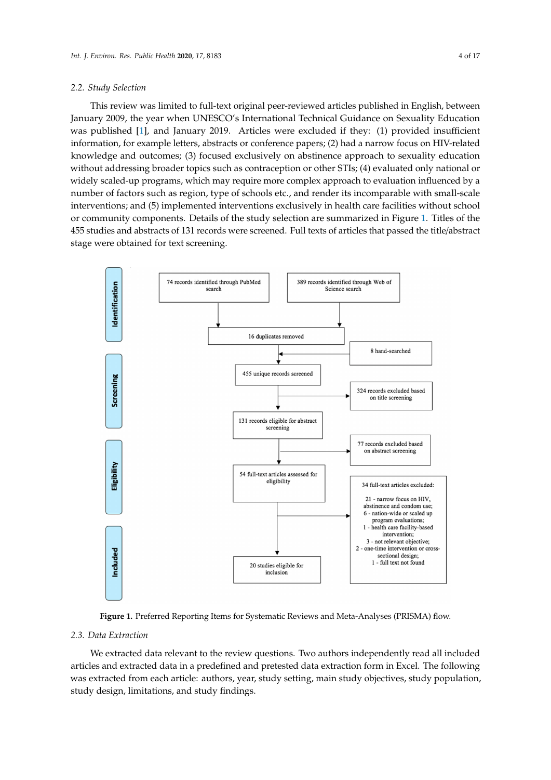#### *2.2. Study Selection*

This review was limited to full-text original peer-reviewed articles published in English, between January 2009, the year when UNESCO's International Technical Guidance on Sexuality Education was published [1], and January 2019. Articles were excluded if they: (1) provided insufficient information, for example letters, abstracts or conference papers; (2) had a narrow focus on HIV-related knowledge and outcomes; (3) focused exclusively on abstinence approach to sexuality education without addressing broader topics such as contraception or other STIs; (4) evaluated only national or widely scaled-up programs, which may require more complex approach to evaluation influenced by a number of factors such as region, type of schools etc., and render its incomparable with small-scale interventions; and (5) implemented interventions exclusively in health care facilities without school or community components. Details of the study selection are summarized in Figure 1. Titles of the 455 studies and abstracts of 131 records were screened. Full texts of articles that passed the title/abstract stage were obtained for text screening.  $\alpha$  decreasing product to pressure as correlated plot of outer 511s, (1) evaluated only hadones

<span id="page-3-0"></span>

**Figure 1.** Preferred Reporting Items for Systematic Reviews and Meta-Analyses (PRISMA) flow. **Figure 1.** Preferred Reporting Items for Systematic Reviews and Meta-Analyses (PRISMA) flow.

# *2.3. Data Extraction*

We extracted data relevant to the review questions. Two authors independently read all included articles and extracted data in a predefined and pretested data extraction form in Excel. The following was extracted from each article: authors, year, study setting, main study objectives, study population, study design, limitations, and study findings.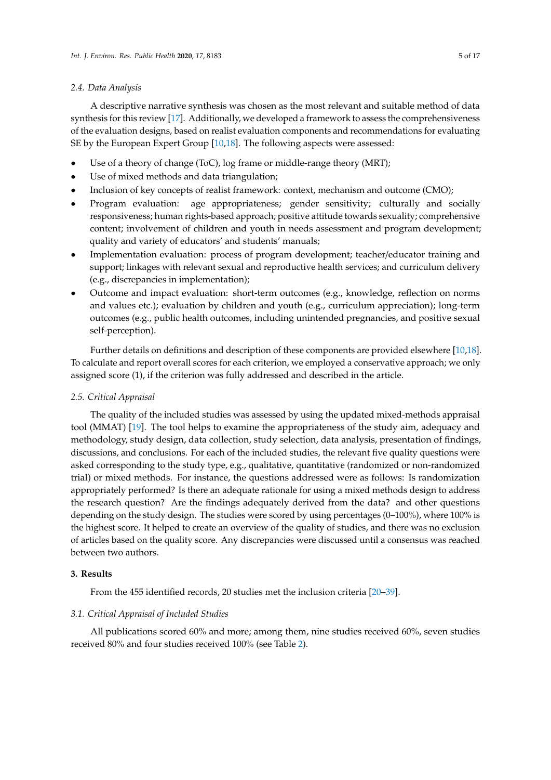#### *2.4. Data Analysis*

A descriptive narrative synthesis was chosen as the most relevant and suitable method of data synthesis for this review [\[17\]](#page-14-15). Additionally, we developed a framework to assess the comprehensiveness of the evaluation designs, based on realist evaluation components and recommendations for evaluating SE by the European Expert Group [\[10,](#page-14-9)[18\]](#page-14-16). The following aspects were assessed:

- Use of a theory of change (ToC), log frame or middle-range theory (MRT);
- Use of mixed methods and data triangulation;
- Inclusion of key concepts of realist framework: context, mechanism and outcome (CMO);
- Program evaluation: age appropriateness; gender sensitivity; culturally and socially responsiveness; human rights-based approach; positive attitude towards sexuality; comprehensive content; involvement of children and youth in needs assessment and program development; quality and variety of educators' and students' manuals;
- Implementation evaluation: process of program development; teacher/educator training and support; linkages with relevant sexual and reproductive health services; and curriculum delivery (e.g., discrepancies in implementation);
- Outcome and impact evaluation: short-term outcomes (e.g., knowledge, reflection on norms and values etc.); evaluation by children and youth (e.g., curriculum appreciation); long-term outcomes (e.g., public health outcomes, including unintended pregnancies, and positive sexual self-perception).

Further details on definitions and description of these components are provided elsewhere [\[10](#page-14-9)[,18\]](#page-14-16). To calculate and report overall scores for each criterion, we employed a conservative approach; we only assigned score (1), if the criterion was fully addressed and described in the article.

## *2.5. Critical Appraisal*

The quality of the included studies was assessed by using the updated mixed-methods appraisal tool (MMAT) [\[19\]](#page-14-17). The tool helps to examine the appropriateness of the study aim, adequacy and methodology, study design, data collection, study selection, data analysis, presentation of findings, discussions, and conclusions. For each of the included studies, the relevant five quality questions were asked corresponding to the study type, e.g., qualitative, quantitative (randomized or non-randomized trial) or mixed methods. For instance, the questions addressed were as follows: Is randomization appropriately performed? Is there an adequate rationale for using a mixed methods design to address the research question? Are the findings adequately derived from the data? and other questions depending on the study design. The studies were scored by using percentages (0–100%), where 100% is the highest score. It helped to create an overview of the quality of studies, and there was no exclusion of articles based on the quality score. Any discrepancies were discussed until a consensus was reached between two authors.

## **3. Results**

From the 455 identified records, 20 studies met the inclusion criteria [\[20–](#page-14-18)[39\]](#page-16-0).

#### *3.1. Critical Appraisal of Included Studies*

All publications scored 60% and more; among them, nine studies received 60%, seven studies received 80% and four studies received 100% (see Table [2\)](#page-5-0).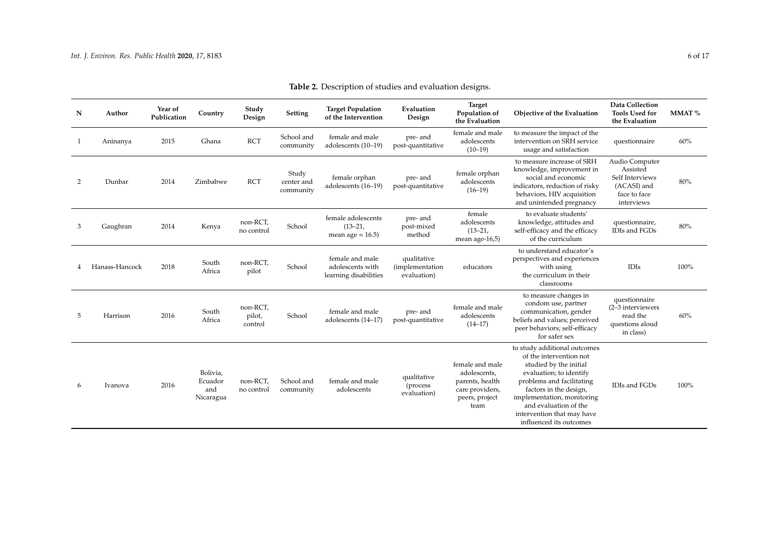<span id="page-5-0"></span>

| N | Author         | Year of<br>Publication | Country                                 | Study<br>Design               | <b>Setting</b>                   | <b>Target Population</b><br>of the Intervention              | Evaluation<br>Design                                  | <b>Target</b><br>Population of<br>the Evaluation                                                | Objective of the Evaluation                                                                                                                                                                                                                                                         | <b>Data Collection</b><br><b>Tools Used for</b><br>the Evaluation                          | MMAT% |
|---|----------------|------------------------|-----------------------------------------|-------------------------------|----------------------------------|--------------------------------------------------------------|-------------------------------------------------------|-------------------------------------------------------------------------------------------------|-------------------------------------------------------------------------------------------------------------------------------------------------------------------------------------------------------------------------------------------------------------------------------------|--------------------------------------------------------------------------------------------|-------|
|   | Aninanya       | 2015                   | Ghana                                   | <b>RCT</b>                    | School and<br>community          | female and male<br>adolescents (10-19)                       | pre- and<br>post-quantitative                         | female and male<br>adolescents<br>$(10-19)$                                                     | to measure the impact of the<br>intervention on SRH service<br>usage and satisfaction                                                                                                                                                                                               | questionnaire                                                                              | 60%   |
| 2 | Dunbar         | 2014                   | Zimbabwe                                | <b>RCT</b>                    | Study<br>center and<br>community | female orphan<br>adolescents (16-19)                         | pre- and<br>post-quantitative                         | female orphan<br>adolescents<br>$(16-19)$                                                       | to measure increase of SRH<br>knowledge, improvement in<br>social and economic<br>indicators, reduction of risky<br>behaviors, HIV acquisition<br>and unintended pregnancy                                                                                                          | Audio Computer<br>Assisted<br>Self Interviews<br>(ACASI) and<br>face to face<br>interviews | 80%   |
| 3 | Gaughran       | 2014                   | Kenya                                   | non-RCT,<br>no control        | School                           | female adolescents<br>$(13-21,$<br>mean age = $16.5$ )       | pre- and<br>post-mixed<br>method                      | female<br>adolescents<br>$(13 - 21,$<br>mean age-16,5)                                          | to evaluate students'<br>knowledge, attitudes and<br>self-efficacy and the efficacy<br>of the curriculum                                                                                                                                                                            | questionnaire,<br>IDIs and FGDs                                                            | 80%   |
|   | Hanass-Hancock | 2018                   | South<br>Africa                         | non-RCT,<br>pilot             | School                           | female and male<br>adolescents with<br>learning disabilities | qualitative<br><i>(implementation)</i><br>evaluation) | educators                                                                                       | to understand educator's<br>perspectives and experiences<br>with using<br>the curriculum in their<br>classrooms                                                                                                                                                                     | IDIs                                                                                       | 100%  |
| 5 | Harrison       | 2016                   | South<br>Africa                         | non-RCT,<br>pilot,<br>control | School                           | female and male<br>adolescents (14-17)                       | pre- and<br>post-quantitative                         | female and male<br>adolescents<br>$(14-17)$                                                     | to measure changes in<br>condom use, partner<br>communication, gender<br>beliefs and values; perceived<br>peer behaviors; self-efficacy<br>for safer sex                                                                                                                            | questionnaire<br>(2-3 interviewers<br>read the<br>questions aloud<br>in class)             | 60%   |
| 6 | Ivanova        | 2016                   | Bolivia.<br>Ecuador<br>and<br>Nicaragua | non-RCT,<br>no control        | School and<br>community          | female and male<br>adolescents                               | qualitative<br>(process)<br>evaluation)               | female and male<br>adolescents,<br>parents, health<br>care providers,<br>peers, project<br>team | to study additional outcomes<br>of the intervention not<br>studied by the initial<br>evaluation; to identify<br>problems and facilitating<br>factors in the design,<br>implementation, monitoring<br>and evaluation of the<br>intervention that may have<br>influenced its outcomes | IDIs and FGDs                                                                              | 100%  |

**Table 2.** Description of studies and evaluation designs.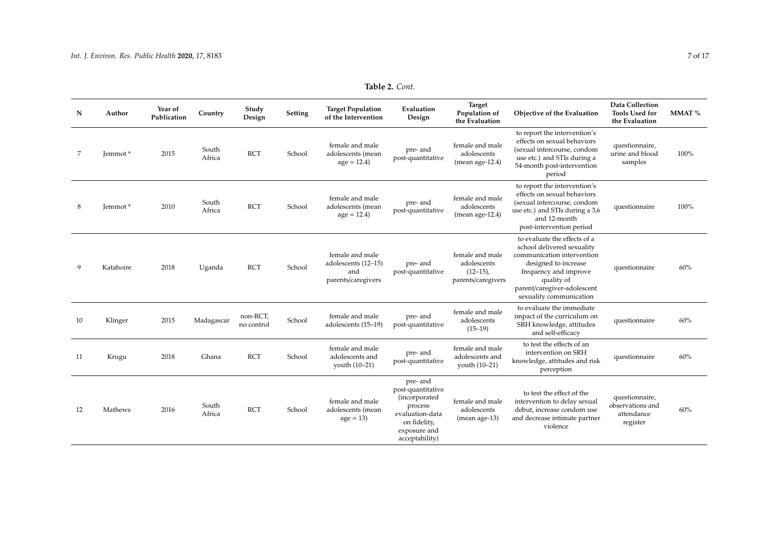| N  | Author    | Year of<br>Publication | Country         | Study<br>Design        | Setting | <b>Target Population</b><br>of the Intervention                     | Evaluation<br>Design                                                                                                           | <b>Target</b><br>Population of<br>the Evaluation                    | Objective of the Evaluation                                                                                                                                                                                       | <b>Data Collection</b><br><b>Tools Used for</b><br>the Evaluation | MMAT% |
|----|-----------|------------------------|-----------------|------------------------|---------|---------------------------------------------------------------------|--------------------------------------------------------------------------------------------------------------------------------|---------------------------------------------------------------------|-------------------------------------------------------------------------------------------------------------------------------------------------------------------------------------------------------------------|-------------------------------------------------------------------|-------|
| 7  | Jemmot*   | 2015                   | South<br>Africa | <b>RCT</b>             | School  | female and male<br>adolescents (mean<br>$age = 12.4$                | pre- and<br>post-quantitative                                                                                                  | female and male<br>adolescents<br>$(mean age-12.4)$                 | to report the intervention's<br>effects on sexual behaviors<br>(sexual intercourse, condom<br>use etc.) and STIs during a<br>54-month post-intervention<br>period                                                 | questionnaire,<br>urine and blood<br>samples                      | 100%  |
| 8  | Jemmot*   | 2010                   | South<br>Africa | <b>RCT</b>             | School  | female and male<br>adolescents (mean<br>$age = 12.4$                | pre- and<br>post-quantitative                                                                                                  | female and male<br>adolescents<br>$(mean age-12.4)$                 | to report the intervention's<br>effects on sexual behaviors<br>(sexual intercourse, condom<br>use etc.) and STIs during a 3,6<br>and 12-month<br>post-intervention period                                         | questionnaire                                                     | 100%  |
| 9  | Katahoire | 2018                   | Uganda          | <b>RCT</b>             | School  | female and male<br>adolescents (12-15)<br>and<br>parents/caregivers | pre- and<br>post-quantitative                                                                                                  | female and male<br>adolescents<br>$(12-15)$ ,<br>parents/caregivers | to evaluate the effects of a<br>school delivered sexuality<br>communication intervention<br>designed to increase<br>frequency and improve<br>quality of<br>parent/caregiver-adolescent<br>sexuality communication | questionnaire                                                     | 60%   |
| 10 | Klinger   | 2015                   | Madagascar      | non-RCT,<br>no control | School  | female and male<br>adolescents (15-19)                              | pre- and<br>post-quantitative                                                                                                  | female and male<br>adolescents<br>$(15-19)$                         | to evaluate the immediate<br>impact of the curriculum on<br>SRH knowledge, attitudes<br>and self-efficacy                                                                                                         | questionnaire                                                     | 60%   |
| 11 | Krugu     | 2018                   | Ghana           | <b>RCT</b>             | School  | female and male<br>adolescents and<br>youth (10-21)                 | pre- and<br>post-quantitative                                                                                                  | female and male<br>adolescents and<br>youth (10-21)                 | to test the effects of an<br>intervention on SRH<br>knowledge, attitudes and risk<br>perception                                                                                                                   | questionnaire                                                     | 60%   |
| 12 | Mathews   | 2016                   | South<br>Africa | <b>RCT</b>             | School  | female and male<br>adolescents (mean<br>$age = 13$                  | pre- and<br>post-quantitative<br>(incorporated<br>process<br>evaluation-data<br>on fidelity,<br>exposure and<br>acceptability) | female and male<br>adolescents<br>(mean age-13)                     | to test the effect of the<br>intervention to delay sexual<br>debut, increase condom use<br>and decrease intimate partner<br>violence                                                                              | questionnaire,<br>observations and<br>attendance<br>register      | 60%   |

**Table 2.** *Cont.*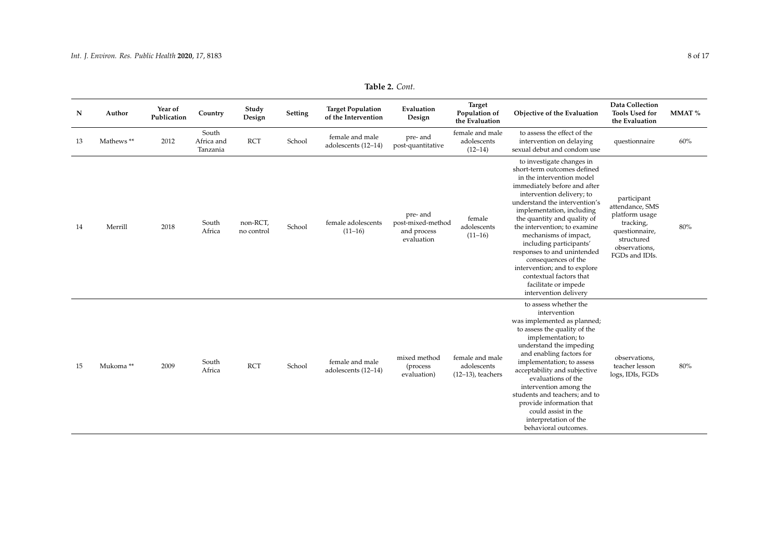| N  | Author     | Year of<br>Publication | Country                         | Study<br>Design        | Setting | <b>Target Population</b><br>of the Intervention | Evaluation<br>Design                                       | <b>Target</b><br>Population of<br>the Evaluation       | Objective of the Evaluation                                                                                                                                                                                                                                                                                                                                                                                                                                                                           | <b>Data Collection</b><br><b>Tools Used for</b><br>the Evaluation                                                                | MMAT% |
|----|------------|------------------------|---------------------------------|------------------------|---------|-------------------------------------------------|------------------------------------------------------------|--------------------------------------------------------|-------------------------------------------------------------------------------------------------------------------------------------------------------------------------------------------------------------------------------------------------------------------------------------------------------------------------------------------------------------------------------------------------------------------------------------------------------------------------------------------------------|----------------------------------------------------------------------------------------------------------------------------------|-------|
| 13 | Mathews ** | 2012                   | South<br>Africa and<br>Tanzania | <b>RCT</b>             | School  | female and male<br>adolescents (12-14)          | pre- and<br>post-quantitative                              | female and male<br>adolescents<br>$(12-14)$            | to assess the effect of the<br>intervention on delaying<br>sexual debut and condom use                                                                                                                                                                                                                                                                                                                                                                                                                | questionnaire                                                                                                                    | 60%   |
| 14 | Merrill    | 2018                   | South<br>Africa                 | non-RCT,<br>no control | School  | female adolescents<br>$(11-16)$                 | pre- and<br>post-mixed-method<br>and process<br>evaluation | female<br>adolescents<br>$(11-16)$                     | to investigate changes in<br>short-term outcomes defined<br>in the intervention model<br>immediately before and after<br>intervention delivery; to<br>understand the intervention's<br>implementation, including<br>the quantity and quality of<br>the intervention; to examine<br>mechanisms of impact,<br>including participants'<br>responses to and unintended<br>consequences of the<br>intervention; and to explore<br>contextual factors that<br>facilitate or impede<br>intervention delivery | participant<br>attendance, SMS<br>platform usage<br>tracking,<br>questionnaire,<br>structured<br>observations,<br>FGDs and IDIs. | 80%   |
| 15 | Mukoma**   | 2009                   | South<br>Africa                 | <b>RCT</b>             | School  | female and male<br>adolescents (12-14)          | mixed method<br>(process)<br>evaluation)                   | female and male<br>adolescents<br>$(12-13)$ , teachers | to assess whether the<br>intervention<br>was implemented as planned;<br>to assess the quality of the<br>implementation; to<br>understand the impeding<br>and enabling factors for<br>implementation; to assess<br>acceptability and subjective<br>evaluations of the<br>intervention among the<br>students and teachers; and to<br>provide information that<br>could assist in the<br>interpretation of the<br>behavioral outcomes.                                                                   | observations,<br>teacher lesson<br>logs, IDIs, FGDs                                                                              | 80%   |

# **Table 2.** *Cont.*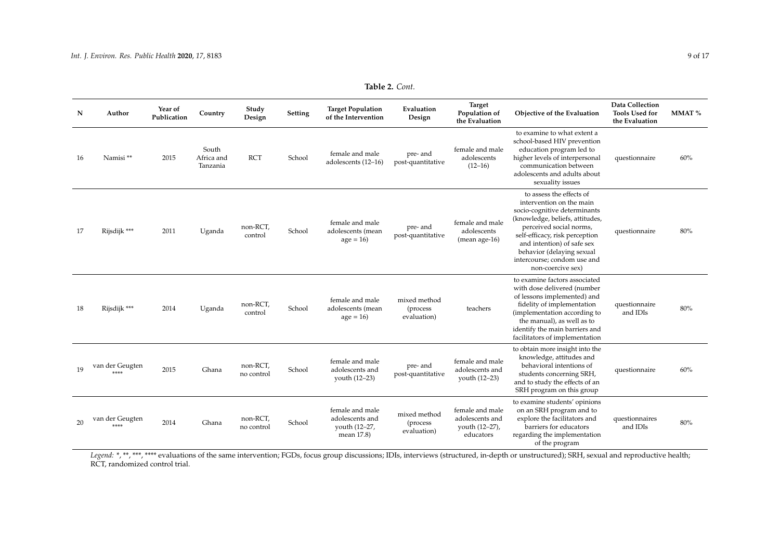| <b>Table 2.</b> Cont. |  |
|-----------------------|--|
|-----------------------|--|

| N  | Author                  | Year of<br>Publication | Country                         | Study<br>Design        | Setting | <b>Target Population</b><br>of the Intervention                   | Evaluation<br>Design                     | <b>Target</b><br>Population of<br>the Evaluation                  | Objective of the Evaluation                                                                                                                                                                                                                                                                         | <b>Data Collection</b><br><b>Tools Used for</b><br>the Evaluation | MMAT % |
|----|-------------------------|------------------------|---------------------------------|------------------------|---------|-------------------------------------------------------------------|------------------------------------------|-------------------------------------------------------------------|-----------------------------------------------------------------------------------------------------------------------------------------------------------------------------------------------------------------------------------------------------------------------------------------------------|-------------------------------------------------------------------|--------|
| 16 | Namisi**                | 2015                   | South<br>Africa and<br>Tanzania | <b>RCT</b>             | School  | female and male<br>adolescents (12-16)                            | pre- and<br>post-quantitative            | female and male<br>adolescents<br>$(12-16)$                       | to examine to what extent a<br>school-based HIV prevention<br>education program led to<br>higher levels of interpersonal<br>communication between<br>adolescents and adults about<br>sexuality issues                                                                                               | questionnaire                                                     | 60%    |
| 17 | Rijsdijk ***            | 2011                   | Uganda                          | non-RCT,<br>control    | School  | female and male<br>adolescents (mean<br>$age = 16$                | pre- and<br>post-quantitative            | female and male<br>adolescents<br>(mean age-16)                   | to assess the effects of<br>intervention on the main<br>socio-cognitive determinants<br>(knowledge, beliefs, attitudes,<br>perceived social norms,<br>self-efficacy, risk perception<br>and intention) of safe sex<br>behavior (delaying sexual<br>intercourse; condom use and<br>non-coercive sex) | questionnaire                                                     | 80%    |
| 18 | Rijsdijk ***            | 2014                   | Uganda                          | non-RCT,<br>control    | School  | female and male<br>adolescents (mean<br>$age = 16$                | mixed method<br>(process)<br>evaluation) | teachers                                                          | to examine factors associated<br>with dose delivered (number<br>of lessons implemented) and<br>fidelity of implementation<br>(implementation according to<br>the manual), as well as to<br>identify the main barriers and<br>facilitators of implementation                                         | questionnaire<br>and IDIs                                         | 80%    |
| 19 | van der Geugten<br>**** | 2015                   | Ghana                           | non-RCT,<br>no control | School  | female and male<br>adolescents and<br>youth (12-23)               | pre- and<br>post-quantitative            | female and male<br>adolescents and<br>youth (12-23)               | to obtain more insight into the<br>knowledge, attitudes and<br>behavioral intentions of<br>students concerning SRH,<br>and to study the effects of an<br>SRH program on this group                                                                                                                  | questionnaire                                                     | 60%    |
| 20 | van der Geugten<br>**** | 2014                   | Ghana                           | non-RCT,<br>no control | School  | female and male<br>adolescents and<br>youth (12-27,<br>mean 17.8) | mixed method<br>(process)<br>evaluation) | female and male<br>adolescents and<br>youth (12–27),<br>educators | to examine students' opinions<br>on an SRH program and to<br>explore the facilitators and<br>barriers for educators<br>regarding the implementation<br>of the program                                                                                                                               | questionnaires<br>and IDIs                                        | 80%    |

*Legend:* \*, \*\*, \*\*\*, \*\*\*\* evaluations of the same intervention; FGDs, focus group discussions; IDIs, interviews (structured, in-depth or unstructured); SRH, sexual and reproductive health; RCT, randomized control trial.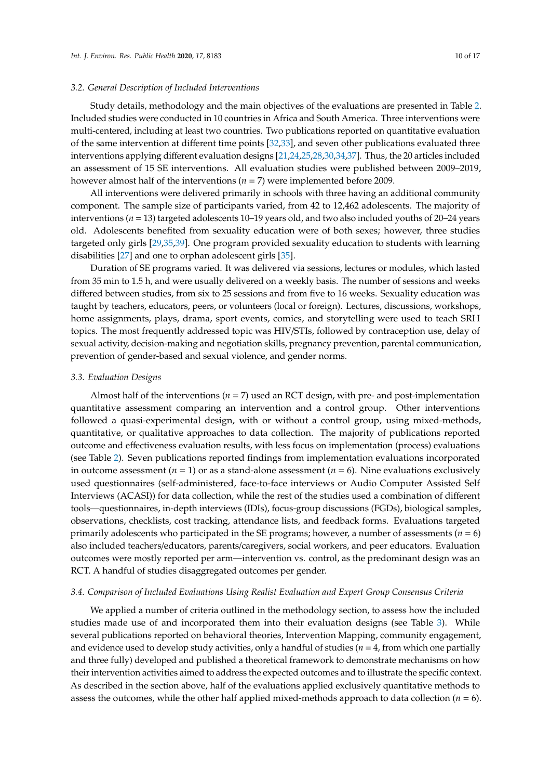### *3.2. General Description of Included Interventions*

Study details, methodology and the main objectives of the evaluations are presented in Table [2.](#page-5-0) Included studies were conducted in 10 countries in Africa and South America. Three interventions were multi-centered, including at least two countries. Two publications reported on quantitative evaluation of the same intervention at different time points [\[32,](#page-15-0)[33\]](#page-15-1), and seven other publications evaluated three interventions applying different evaluation designs [\[21](#page-15-2)[,24](#page-15-3)[,25,](#page-15-4)[28,](#page-15-5)[30,](#page-15-6)[34](#page-15-7)[,37\]](#page-15-8). Thus, the 20 articles included an assessment of 15 SE interventions. All evaluation studies were published between 2009–2019, however almost half of the interventions (*n* = 7) were implemented before 2009.

All interventions were delivered primarily in schools with three having an additional community component. The sample size of participants varied, from 42 to 12,462 adolescents. The majority of interventions (*n* = 13) targeted adolescents 10–19 years old, and two also included youths of 20–24 years old. Adolescents benefited from sexuality education were of both sexes; however, three studies targeted only girls [\[29](#page-15-9)[,35,](#page-15-10)[39\]](#page-16-0). One program provided sexuality education to students with learning disabilities [\[27\]](#page-15-11) and one to orphan adolescent girls [\[35\]](#page-15-10).

Duration of SE programs varied. It was delivered via sessions, lectures or modules, which lasted from 35 min to 1.5 h, and were usually delivered on a weekly basis. The number of sessions and weeks differed between studies, from six to 25 sessions and from five to 16 weeks. Sexuality education was taught by teachers, educators, peers, or volunteers (local or foreign). Lectures, discussions, workshops, home assignments, plays, drama, sport events, comics, and storytelling were used to teach SRH topics. The most frequently addressed topic was HIV/STIs, followed by contraception use, delay of sexual activity, decision-making and negotiation skills, pregnancy prevention, parental communication, prevention of gender-based and sexual violence, and gender norms.

#### *3.3. Evaluation Designs*

Almost half of the interventions ( $n = 7$ ) used an RCT design, with pre- and post-implementation quantitative assessment comparing an intervention and a control group. Other interventions followed a quasi-experimental design, with or without a control group, using mixed-methods, quantitative, or qualitative approaches to data collection. The majority of publications reported outcome and effectiveness evaluation results, with less focus on implementation (process) evaluations (see Table [2\)](#page-5-0). Seven publications reported findings from implementation evaluations incorporated in outcome assessment ( $n = 1$ ) or as a stand-alone assessment ( $n = 6$ ). Nine evaluations exclusively used questionnaires (self-administered, face-to-face interviews or Audio Computer Assisted Self Interviews (ACASI)) for data collection, while the rest of the studies used a combination of different tools—questionnaires, in-depth interviews (IDIs), focus-group discussions (FGDs), biological samples, observations, checklists, cost tracking, attendance lists, and feedback forms. Evaluations targeted primarily adolescents who participated in the SE programs; however, a number of assessments ( $n = 6$ ) also included teachers/educators, parents/caregivers, social workers, and peer educators. Evaluation outcomes were mostly reported per arm—intervention vs. control, as the predominant design was an RCT. A handful of studies disaggregated outcomes per gender.

## *3.4. Comparison of Included Evaluations Using Realist Evaluation and Expert Group Consensus Criteria*

We applied a number of criteria outlined in the methodology section, to assess how the included studies made use of and incorporated them into their evaluation designs (see Table [3\)](#page-10-0). While several publications reported on behavioral theories, Intervention Mapping, community engagement, and evidence used to develop study activities, only a handful of studies (*n* = 4, from which one partially and three fully) developed and published a theoretical framework to demonstrate mechanisms on how their intervention activities aimed to address the expected outcomes and to illustrate the specific context. As described in the section above, half of the evaluations applied exclusively quantitative methods to assess the outcomes, while the other half applied mixed-methods approach to data collection ( $n = 6$ ).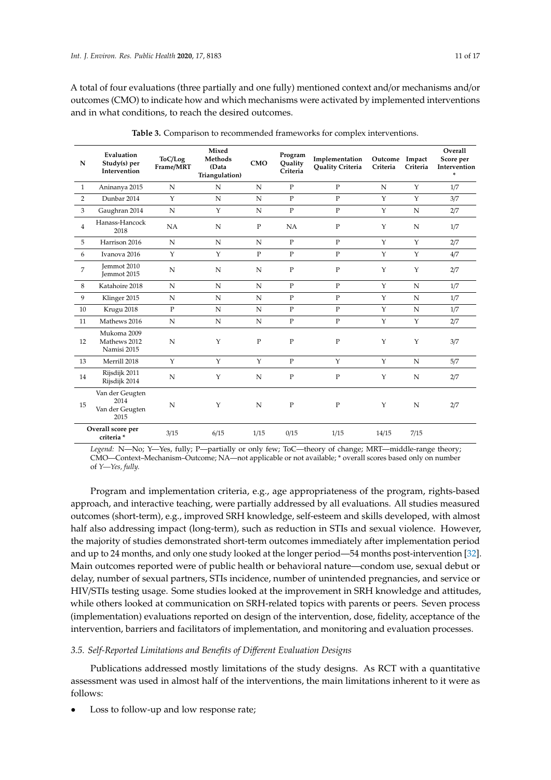A total of four evaluations (three partially and one fully) mentioned context and/or mechanisms and/or outcomes (CMO) to indicate how and which mechanisms were activated by implemented interventions and in what conditions, to reach the desired outcomes.

<span id="page-10-0"></span>

| $\mathbf N$    | Evaluation<br>Study(s) per<br>Intervention         | ToC/Log<br>Frame/MRT | Mixed<br>Methods<br>(Data<br>Triangulation) | <b>CMO</b>   | Program<br>Quality<br>Criteria | Implementation<br>Quality Criteria | Outcome<br>Criteria | Impact<br>Criteria | Overall<br>Score per<br>Intervention<br>×. |
|----------------|----------------------------------------------------|----------------------|---------------------------------------------|--------------|--------------------------------|------------------------------------|---------------------|--------------------|--------------------------------------------|
| $\mathbf{1}$   | Aninanya 2015                                      | N                    | $\mathbf N$                                 | N            | $\mathbf{P}$                   | P                                  | $\mathbf N$         | Y                  | 1/7                                        |
| $\overline{2}$ | Dunbar 2014                                        | Y                    | $\mathbf N$                                 | N            | $\mathbf{P}$                   | $\mathbf{P}$                       | $\mathsf{Y}$        | Y                  | 3/7                                        |
| 3              | Gaughran 2014                                      | N                    | Y                                           | $\mathbf N$  | $\mathbf{P}$                   | $\mathbf{P}$                       | Y                   | N                  | 2/7                                        |
| $\overline{4}$ | Hanass-Hancock<br>2018                             | NA                   | N                                           | $\mathbf{P}$ | NA                             | $\mathbf P$                        | Y                   | N                  | 1/7                                        |
| 5              | Harrison 2016                                      | N                    | $\mathbf N$                                 | $\mathbf N$  | $\mathbf{P}$                   | $\mathbf{P}$                       | Y                   | $\mathbf Y$        | 2/7                                        |
| 6              | Ivanova 2016                                       | Y                    | $\mathbf Y$                                 | $\mathbf{P}$ | $\mathbf P$                    | $\mathbf P$                        | Y                   | $\mathbf{Y}$       | 4/7                                        |
| 7              | <b>Jemmot 2010</b><br><b>Jemmot 2015</b>           | N                    | N                                           | N            | $\mathbf{P}$                   | $\mathbf P$                        | Y                   | $\mathbf Y$        | 2/7                                        |
| 8              | Katahoire 2018                                     | N                    | $\mathbf N$                                 | N            | $\mathbf P$                    | $\mathbf{P}$                       | Y                   | N                  | 1/7                                        |
| 9              | Klinger 2015                                       | N                    | $\mathbf N$                                 | N            | $\mathbf{P}$                   | $\mathbf{P}$                       | Y                   | N                  | 1/7                                        |
| 10             | Krugu 2018                                         | $\mathbf P$          | $\mathbf N$                                 | N            | $\mathbf P$                    | $\mathbf P$                        | Y                   | N                  | 1/7                                        |
| 11             | Mathews 2016                                       | $\mathbf N$          | $\mathbf N$                                 | $\mathbf N$  | $\mathbf P$                    | $\mathbf{P}$                       | $\mathbf{Y}$        | $\mathbf{Y}$       | 2/7                                        |
| 12             | Mukoma 2009<br>Mathews 2012<br>Namisi 2015         | N                    | $\mathbf Y$                                 | $\mathbf{P}$ | ${\bf P}$                      | $\mathbf P$                        | Y                   | $\mathbf Y$        | 3/7                                        |
| 13             | Merrill 2018                                       | Y                    | Y                                           | Y            | P                              | Y                                  | Y                   | N                  | 5/7                                        |
| 14             | Rijsdijk 2011<br>Rijsdijk 2014                     | N                    | $\mathbf{Y}$                                | N            | $\mathbf P$                    | $\mathbf P$                        | Y                   | N                  | 2/7                                        |
| 15             | Van der Geugten<br>2014<br>Van der Geugten<br>2015 | $\mathbf N$          | $\mathbf Y$                                 | N            | $\mathbf P$                    | $\mathbf P$                        | Y                   | $\mathbf N$        | 2/7                                        |
|                | Overall score per<br>criteria <sup>*</sup>         | 3/15                 | 6/15                                        | 1/15         | 0/15                           | 1/15                               | 14/15               | 7/15               |                                            |

**Table 3.** Comparison to recommended frameworks for complex interventions.

*Legend:* N—No; Y—Yes, fully; P—partially or only few; ToC—theory of change; MRT—middle-range theory; CMO—Context–Mechanism–Outcome; NA—not applicable or not available; \* overall scores based only on number of *Y—Yes, fully.*

Program and implementation criteria, e.g., age appropriateness of the program, rights-based approach, and interactive teaching, were partially addressed by all evaluations. All studies measured outcomes (short-term), e.g., improved SRH knowledge, self-esteem and skills developed, with almost half also addressing impact (long-term), such as reduction in STIs and sexual violence. However, the majority of studies demonstrated short-term outcomes immediately after implementation period and up to 24 months, and only one study looked at the longer period—54 months post-intervention [\[32\]](#page-15-0). Main outcomes reported were of public health or behavioral nature—condom use, sexual debut or delay, number of sexual partners, STIs incidence, number of unintended pregnancies, and service or HIV/STIs testing usage. Some studies looked at the improvement in SRH knowledge and attitudes, while others looked at communication on SRH-related topics with parents or peers. Seven process (implementation) evaluations reported on design of the intervention, dose, fidelity, acceptance of the intervention, barriers and facilitators of implementation, and monitoring and evaluation processes.

## *3.5. Self-Reported Limitations and Benefits of Di*ff*erent Evaluation Designs*

Publications addressed mostly limitations of the study designs. As RCT with a quantitative assessment was used in almost half of the interventions, the main limitations inherent to it were as follows:

Loss to follow-up and low response rate;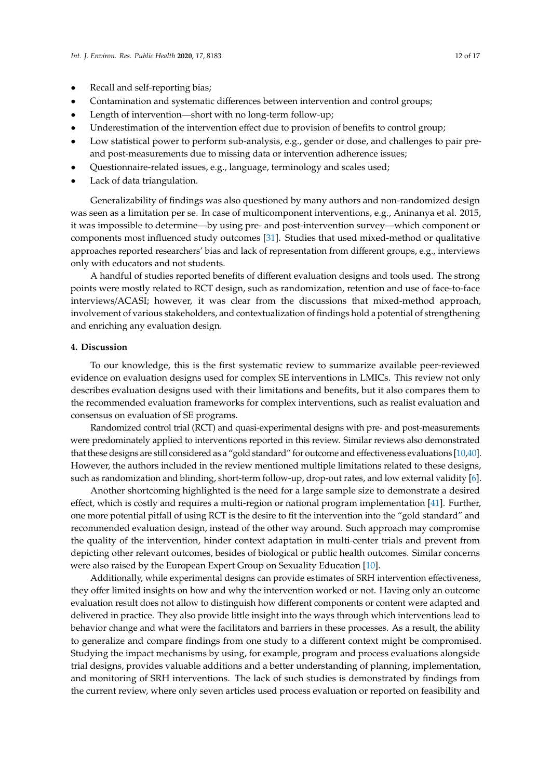- Recall and self-reporting bias;
- Contamination and systematic differences between intervention and control groups;
- Length of intervention—short with no long-term follow-up;
- Underestimation of the intervention effect due to provision of benefits to control group;
- Low statistical power to perform sub-analysis, e.g., gender or dose, and challenges to pair preand post-measurements due to missing data or intervention adherence issues;
- Questionnaire-related issues, e.g., language, terminology and scales used;
- Lack of data triangulation.

Generalizability of findings was also questioned by many authors and non-randomized design was seen as a limitation per se. In case of multicomponent interventions, e.g., Aninanya et al. 2015, it was impossible to determine—by using pre- and post-intervention survey—which component or components most influenced study outcomes [\[31\]](#page-15-12). Studies that used mixed-method or qualitative approaches reported researchers' bias and lack of representation from different groups, e.g., interviews only with educators and not students.

A handful of studies reported benefits of different evaluation designs and tools used. The strong points were mostly related to RCT design, such as randomization, retention and use of face-to-face interviews/ACASI; however, it was clear from the discussions that mixed-method approach, involvement of various stakeholders, and contextualization of findings hold a potential of strengthening and enriching any evaluation design.

#### **4. Discussion**

To our knowledge, this is the first systematic review to summarize available peer-reviewed evidence on evaluation designs used for complex SE interventions in LMICs. This review not only describes evaluation designs used with their limitations and benefits, but it also compares them to the recommended evaluation frameworks for complex interventions, such as realist evaluation and consensus on evaluation of SE programs.

Randomized control trial (RCT) and quasi-experimental designs with pre- and post-measurements were predominately applied to interventions reported in this review. Similar reviews also demonstrated that these designs are still considered as a "gold standard" for outcome and effectiveness evaluations [\[10](#page-14-9)[,40\]](#page-16-1). However, the authors included in the review mentioned multiple limitations related to these designs, such as randomization and blinding, short-term follow-up, drop-out rates, and low external validity [\[6\]](#page-14-5).

Another shortcoming highlighted is the need for a large sample size to demonstrate a desired effect, which is costly and requires a multi-region or national program implementation [\[41\]](#page-16-2). Further, one more potential pitfall of using RCT is the desire to fit the intervention into the "gold standard" and recommended evaluation design, instead of the other way around. Such approach may compromise the quality of the intervention, hinder context adaptation in multi-center trials and prevent from depicting other relevant outcomes, besides of biological or public health outcomes. Similar concerns were also raised by the European Expert Group on Sexuality Education [\[10\]](#page-14-9).

Additionally, while experimental designs can provide estimates of SRH intervention effectiveness, they offer limited insights on how and why the intervention worked or not. Having only an outcome evaluation result does not allow to distinguish how different components or content were adapted and delivered in practice. They also provide little insight into the ways through which interventions lead to behavior change and what were the facilitators and barriers in these processes. As a result, the ability to generalize and compare findings from one study to a different context might be compromised. Studying the impact mechanisms by using, for example, program and process evaluations alongside trial designs, provides valuable additions and a better understanding of planning, implementation, and monitoring of SRH interventions. The lack of such studies is demonstrated by findings from the current review, where only seven articles used process evaluation or reported on feasibility and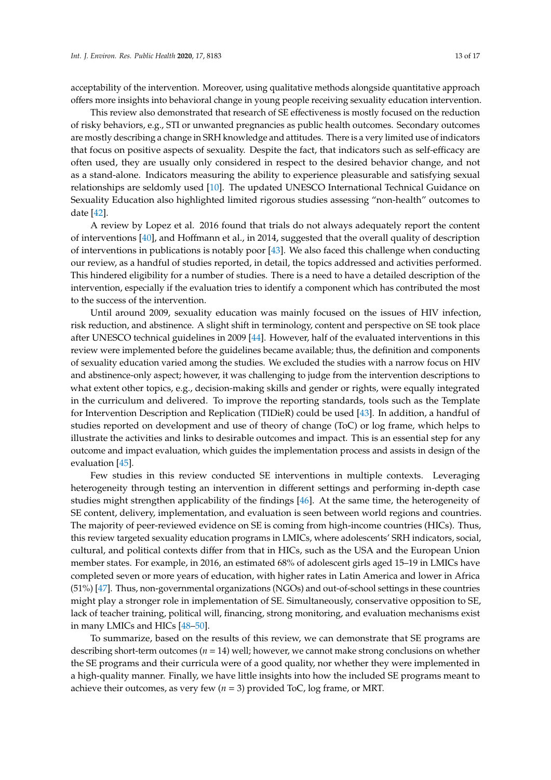acceptability of the intervention. Moreover, using qualitative methods alongside quantitative approach offers more insights into behavioral change in young people receiving sexuality education intervention.

This review also demonstrated that research of SE effectiveness is mostly focused on the reduction of risky behaviors, e.g., STI or unwanted pregnancies as public health outcomes. Secondary outcomes are mostly describing a change in SRH knowledge and attitudes. There is a very limited use of indicators that focus on positive aspects of sexuality. Despite the fact, that indicators such as self-efficacy are often used, they are usually only considered in respect to the desired behavior change, and not as a stand-alone. Indicators measuring the ability to experience pleasurable and satisfying sexual relationships are seldomly used [\[10\]](#page-14-9). The updated UNESCO International Technical Guidance on Sexuality Education also highlighted limited rigorous studies assessing "non-health" outcomes to date [\[42\]](#page-16-3).

A review by Lopez et al. 2016 found that trials do not always adequately report the content of interventions [\[40\]](#page-16-1), and Hoffmann et al., in 2014, suggested that the overall quality of description of interventions in publications is notably poor [\[43\]](#page-16-4). We also faced this challenge when conducting our review, as a handful of studies reported, in detail, the topics addressed and activities performed. This hindered eligibility for a number of studies. There is a need to have a detailed description of the intervention, especially if the evaluation tries to identify a component which has contributed the most to the success of the intervention.

Until around 2009, sexuality education was mainly focused on the issues of HIV infection, risk reduction, and abstinence. A slight shift in terminology, content and perspective on SE took place after UNESCO technical guidelines in 2009 [\[44\]](#page-16-5). However, half of the evaluated interventions in this review were implemented before the guidelines became available; thus, the definition and components of sexuality education varied among the studies. We excluded the studies with a narrow focus on HIV and abstinence-only aspect; however, it was challenging to judge from the intervention descriptions to what extent other topics, e.g., decision-making skills and gender or rights, were equally integrated in the curriculum and delivered. To improve the reporting standards, tools such as the Template for Intervention Description and Replication (TIDieR) could be used [\[43\]](#page-16-4). In addition, a handful of studies reported on development and use of theory of change (ToC) or log frame, which helps to illustrate the activities and links to desirable outcomes and impact. This is an essential step for any outcome and impact evaluation, which guides the implementation process and assists in design of the evaluation [\[45\]](#page-16-6).

Few studies in this review conducted SE interventions in multiple contexts. Leveraging heterogeneity through testing an intervention in different settings and performing in-depth case studies might strengthen applicability of the findings [\[46\]](#page-16-7). At the same time, the heterogeneity of SE content, delivery, implementation, and evaluation is seen between world regions and countries. The majority of peer-reviewed evidence on SE is coming from high-income countries (HICs). Thus, this review targeted sexuality education programs in LMICs, where adolescents' SRH indicators, social, cultural, and political contexts differ from that in HICs, such as the USA and the European Union member states. For example, in 2016, an estimated 68% of adolescent girls aged 15–19 in LMICs have completed seven or more years of education, with higher rates in Latin America and lower in Africa (51%) [\[47\]](#page-16-8). Thus, non-governmental organizations (NGOs) and out-of-school settings in these countries might play a stronger role in implementation of SE. Simultaneously, conservative opposition to SE, lack of teacher training, political will, financing, strong monitoring, and evaluation mechanisms exist in many LMICs and HICs [\[48](#page-16-9)[–50\]](#page-16-10).

To summarize, based on the results of this review, we can demonstrate that SE programs are describing short-term outcomes (*n* = 14) well; however, we cannot make strong conclusions on whether the SE programs and their curricula were of a good quality, nor whether they were implemented in a high-quality manner. Finally, we have little insights into how the included SE programs meant to achieve their outcomes, as very few (*n* = 3) provided ToC, log frame, or MRT.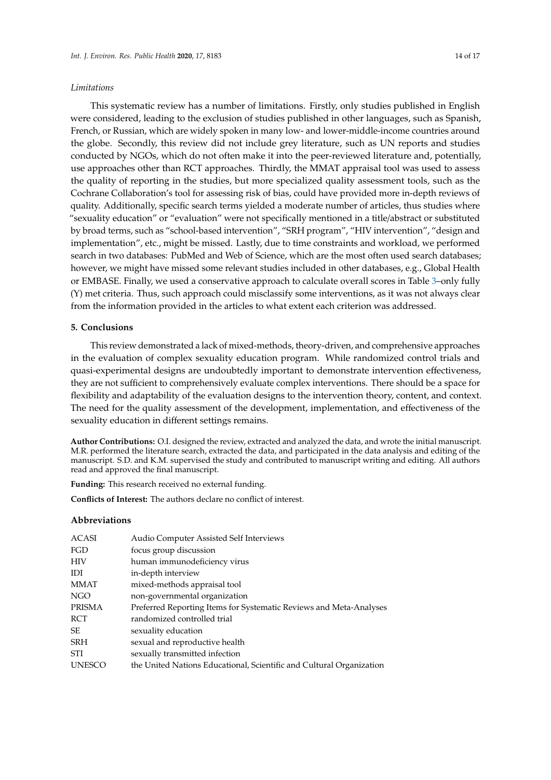#### *Limitations*

This systematic review has a number of limitations. Firstly, only studies published in English were considered, leading to the exclusion of studies published in other languages, such as Spanish, French, or Russian, which are widely spoken in many low- and lower-middle-income countries around the globe. Secondly, this review did not include grey literature, such as UN reports and studies conducted by NGOs, which do not often make it into the peer-reviewed literature and, potentially, use approaches other than RCT approaches. Thirdly, the MMAT appraisal tool was used to assess the quality of reporting in the studies, but more specialized quality assessment tools, such as the Cochrane Collaboration's tool for assessing risk of bias, could have provided more in-depth reviews of quality. Additionally, specific search terms yielded a moderate number of articles, thus studies where "sexuality education" or "evaluation" were not specifically mentioned in a title/abstract or substituted by broad terms, such as "school-based intervention", "SRH program", "HIV intervention", "design and implementation", etc., might be missed. Lastly, due to time constraints and workload, we performed search in two databases: PubMed and Web of Science, which are the most often used search databases; however, we might have missed some relevant studies included in other databases, e.g., Global Health or EMBASE. Finally, we used a conservative approach to calculate overall scores in Table [3–](#page-10-0)only fully (Y) met criteria. Thus, such approach could misclassify some interventions, as it was not always clear from the information provided in the articles to what extent each criterion was addressed.

## **5. Conclusions**

This review demonstrated a lack of mixed-methods, theory-driven, and comprehensive approaches in the evaluation of complex sexuality education program. While randomized control trials and quasi-experimental designs are undoubtedly important to demonstrate intervention effectiveness, they are not sufficient to comprehensively evaluate complex interventions. There should be a space for flexibility and adaptability of the evaluation designs to the intervention theory, content, and context. The need for the quality assessment of the development, implementation, and effectiveness of the sexuality education in different settings remains.

**Author Contributions:** O.I. designed the review, extracted and analyzed the data, and wrote the initial manuscript. M.R. performed the literature search, extracted the data, and participated in the data analysis and editing of the manuscript. S.D. and K.M. supervised the study and contributed to manuscript writing and editing. All authors read and approved the final manuscript.

**Funding:** This research received no external funding.

**Conflicts of Interest:** The authors declare no conflict of interest.

# **Abbreviations**

| ACASI  | Audio Computer Assisted Self Interviews                              |
|--------|----------------------------------------------------------------------|
| FGD    | focus group discussion                                               |
| НIV    | human immunodeficiency virus                                         |
| IDI    | in-depth interview                                                   |
| MMAT   | mixed-methods appraisal tool                                         |
| NGO    | non-governmental organization                                        |
| PRISMA | Preferred Reporting Items for Systematic Reviews and Meta-Analyses   |
| RCT    | randomized controlled trial                                          |
| SE     | sexuality education                                                  |
| SRH    | sexual and reproductive health                                       |
| STI    | sexually transmitted infection                                       |
| UNESCO | the United Nations Educational, Scientific and Cultural Organization |
|        |                                                                      |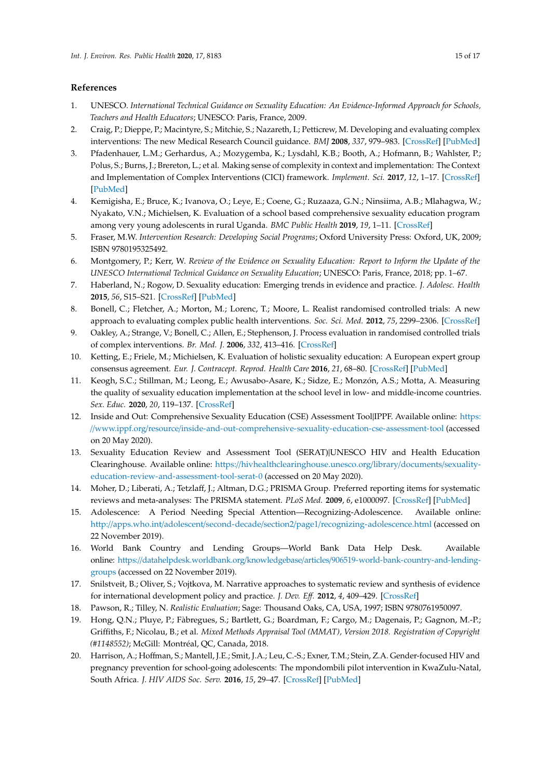# **References**

- <span id="page-14-0"></span>1. UNESCO. *International Technical Guidance on Sexuality Education: An Evidence-Informed Approach for Schools, Teachers and Health Educators*; UNESCO: Paris, France, 2009.
- <span id="page-14-1"></span>2. Craig, P.; Dieppe, P.; Macintyre, S.; Mitchie, S.; Nazareth, I.; Petticrew, M. Developing and evaluating complex interventions: The new Medical Research Council guidance. *BMJ* **2008**, *337*, 979–983. [\[CrossRef\]](http://dx.doi.org/10.1136/bmj.a1655) [\[PubMed\]](http://www.ncbi.nlm.nih.gov/pubmed/18824488)
- <span id="page-14-2"></span>3. Pfadenhauer, L.M.; Gerhardus, A.; Mozygemba, K.; Lysdahl, K.B.; Booth, A.; Hofmann, B.; Wahlster, P.; Polus, S.; Burns, J.; Brereton, L.; et al. Making sense of complexity in context and implementation: The Context and Implementation of Complex Interventions (CICI) framework. *Implement. Sci.* **2017**, *12*, 1–17. [\[CrossRef\]](http://dx.doi.org/10.1186/s13012-017-0552-5) [\[PubMed\]](http://www.ncbi.nlm.nih.gov/pubmed/28202031)
- <span id="page-14-3"></span>4. Kemigisha, E.; Bruce, K.; Ivanova, O.; Leye, E.; Coene, G.; Ruzaaza, G.N.; Ninsiima, A.B.; Mlahagwa, W.; Nyakato, V.N.; Michielsen, K. Evaluation of a school based comprehensive sexuality education program among very young adolescents in rural Uganda. *BMC Public Health* **2019**, *19*, 1–11. [\[CrossRef\]](http://dx.doi.org/10.1186/s12889-019-7805-y)
- <span id="page-14-4"></span>5. Fraser, M.W. *Intervention Research: Developing Social Programs*; Oxford University Press: Oxford, UK, 2009; ISBN 9780195325492.
- <span id="page-14-5"></span>6. Montgomery, P.; Kerr, W. *Review of the Evidence on Sexuality Education: Report to Inform the Update of the UNESCO International Technical Guidance on Sexuality Education*; UNESCO: Paris, France, 2018; pp. 1–67.
- <span id="page-14-6"></span>7. Haberland, N.; Rogow, D. Sexuality education: Emerging trends in evidence and practice. *J. Adolesc. Health* **2015**, *56*, S15–S21. [\[CrossRef\]](http://dx.doi.org/10.1016/j.jadohealth.2014.08.013) [\[PubMed\]](http://www.ncbi.nlm.nih.gov/pubmed/25528976)
- <span id="page-14-7"></span>8. Bonell, C.; Fletcher, A.; Morton, M.; Lorenc, T.; Moore, L. Realist randomised controlled trials: A new approach to evaluating complex public health interventions. *Soc. Sci. Med.* **2012**, *75*, 2299–2306. [\[CrossRef\]](http://dx.doi.org/10.1016/j.socscimed.2012.08.032)
- <span id="page-14-8"></span>9. Oakley, A.; Strange, V.; Bonell, C.; Allen, E.; Stephenson, J. Process evaluation in randomised controlled trials of complex interventions. *Br. Med. J.* **2006**, *332*, 413–416. [\[CrossRef\]](http://dx.doi.org/10.1136/bmj.332.7538.413)
- <span id="page-14-9"></span>10. Ketting, E.; Friele, M.; Michielsen, K. Evaluation of holistic sexuality education: A European expert group consensus agreement. *Eur. J. Contracept. Reprod. Health Care* **2016**, *21*, 68–80. [\[CrossRef\]](http://dx.doi.org/10.3109/13625187.2015.1050715) [\[PubMed\]](http://www.ncbi.nlm.nih.gov/pubmed/26024010)
- <span id="page-14-10"></span>11. Keogh, S.C.; Stillman, M.; Leong, E.; Awusabo-Asare, K.; Sidze, E.; Monzón, A.S.; Motta, A. Measuring the quality of sexuality education implementation at the school level in low- and middle-income countries. *Sex. Educ.* **2020**, *20*, 119–137. [\[CrossRef\]](http://dx.doi.org/10.1080/14681811.2019.1625762)
- 12. Inside and Out: Comprehensive Sexuality Education (CSE) Assessment Tool|IPPF. Available online: [https:](https://www.ippf.org/resource/inside-and-out-comprehensive-sexuality-education-cse-assessment-tool) //www.ippf.org/resource/[inside-and-out-comprehensive-sexuality-education-cse-assessment-tool](https://www.ippf.org/resource/inside-and-out-comprehensive-sexuality-education-cse-assessment-tool) (accessed on 20 May 2020).
- <span id="page-14-11"></span>13. Sexuality Education Review and Assessment Tool (SERAT)|UNESCO HIV and Health Education Clearinghouse. Available online: https://[hivhealthclearinghouse.unesco.org](https://hivhealthclearinghouse.unesco.org/library/documents/sexuality-education-review-and-assessment-tool-serat-0)/library/documents/sexuality[education-review-and-assessment-tool-serat-0](https://hivhealthclearinghouse.unesco.org/library/documents/sexuality-education-review-and-assessment-tool-serat-0) (accessed on 20 May 2020).
- <span id="page-14-12"></span>14. Moher, D.; Liberati, A.; Tetzlaff, J.; Altman, D.G.; PRISMA Group. Preferred reporting items for systematic reviews and meta-analyses: The PRISMA statement. *PLoS Med.* **2009**, *6*, e1000097. [\[CrossRef\]](http://dx.doi.org/10.1371/journal.pmed.1000097) [\[PubMed\]](http://www.ncbi.nlm.nih.gov/pubmed/19621072)
- <span id="page-14-13"></span>15. Adolescence: A Period Needing Special Attention—Recognizing-Adolescence. Available online: http://apps.who.int/adolescent/second-decade/section2/page1/[recognizing-adolescence.html](http://apps.who.int/adolescent/second-decade/section2/page1/recognizing-adolescence.html) (accessed on 22 November 2019).
- <span id="page-14-14"></span>16. World Bank Country and Lending Groups—World Bank Data Help Desk. Available online: https://datahelpdesk.worldbank.org/knowledgebase/articles/[906519-world-bank-country-and-lending](https://datahelpdesk.worldbank.org/knowledgebase/articles/906519-world-bank-country-and-lending-groups)[groups](https://datahelpdesk.worldbank.org/knowledgebase/articles/906519-world-bank-country-and-lending-groups) (accessed on 22 November 2019).
- <span id="page-14-15"></span>17. Snilstveit, B.; Oliver, S.; Vojtkova, M. Narrative approaches to systematic review and synthesis of evidence for international development policy and practice. *J. Dev. E*ff*.* **2012**, *4*, 409–429. [\[CrossRef\]](http://dx.doi.org/10.1080/19439342.2012.710641)
- <span id="page-14-16"></span>18. Pawson, R.; Tilley, N. *Realistic Evaluation*; Sage: Thousand Oaks, CA, USA, 1997; ISBN 9780761950097.
- <span id="page-14-17"></span>19. Hong, Q.N.; Pluye, P.; Fàbregues, S.; Bartlett, G.; Boardman, F.; Cargo, M.; Dagenais, P.; Gagnon, M.-P.; Griffiths, F.; Nicolau, B.; et al. *Mixed Methods Appraisal Tool (MMAT), Version 2018. Registration of Copyright (#1148552)*; McGill: Montréal, QC, Canada, 2018.
- <span id="page-14-18"></span>20. Harrison, A.; Hoffman, S.; Mantell, J.E.; Smit, J.A.; Leu, C.-S.; Exner, T.M.; Stein, Z.A. Gender-focused HIV and pregnancy prevention for school-going adolescents: The mpondombili pilot intervention in KwaZulu-Natal, South Africa. *J. HIV AIDS Soc. Serv.* **2016**, *15*, 29–47. [\[CrossRef\]](http://dx.doi.org/10.1080/15381501.2014.999183) [\[PubMed\]](http://www.ncbi.nlm.nih.gov/pubmed/27642267)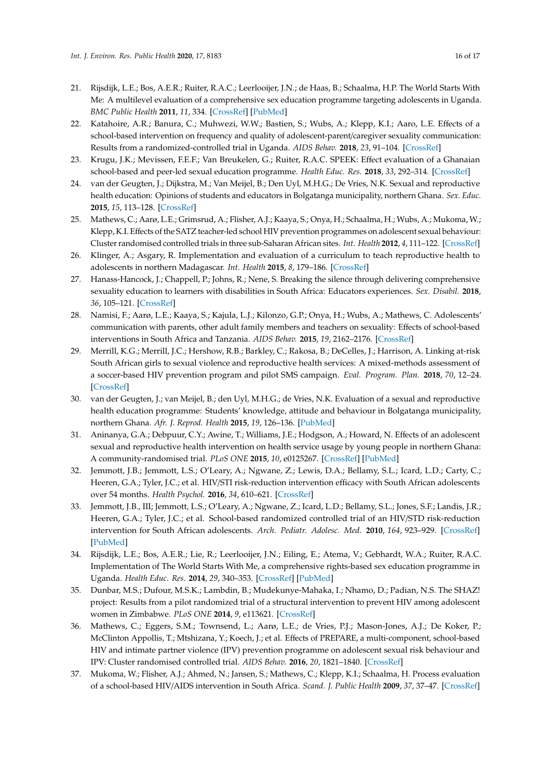- <span id="page-15-2"></span>21. Rijsdijk, L.E.; Bos, A.E.R.; Ruiter, R.A.C.; Leerlooijer, J.N.; de Haas, B.; Schaalma, H.P. The World Starts With Me: A multilevel evaluation of a comprehensive sex education programme targeting adolescents in Uganda. *BMC Public Health* **2011**, *11*, 334. [\[CrossRef\]](http://dx.doi.org/10.1186/1471-2458-11-334) [\[PubMed\]](http://www.ncbi.nlm.nih.gov/pubmed/21592369)
- 22. Katahoire, A.R.; Banura, C.; Muhwezi, W.W.; Bastien, S.; Wubs, A.; Klepp, K.I.; Aaro, L.E. Effects of a school-based intervention on frequency and quality of adolescent-parent/caregiver sexuality communication: Results from a randomized-controlled trial in Uganda. *AIDS Behav.* **2018**, *23*, 91–104. [\[CrossRef\]](http://dx.doi.org/10.1007/s10461-018-2249-4)
- 23. Krugu, J.K.; Mevissen, F.E.F.; Van Breukelen, G.; Ruiter, R.A.C. SPEEK: Effect evaluation of a Ghanaian school-based and peer-led sexual education programme. *Health Educ. Res.* **2018**, *33*, 292–314. [\[CrossRef\]](http://dx.doi.org/10.1093/her/cyy017)
- <span id="page-15-3"></span>24. van der Geugten, J.; Dijkstra, M.; Van Meijel, B.; Den Uyl, M.H.G.; De Vries, N.K. Sexual and reproductive health education: Opinions of students and educators in Bolgatanga municipality, northern Ghana. *Sex. Educ.* **2015**, *15*, 113–128. [\[CrossRef\]](http://dx.doi.org/10.1080/14681811.2014.968771)
- <span id="page-15-4"></span>25. Mathews, C.; Aarø, L.E.; Grimsrud, A.; Flisher, A.J.; Kaaya, S.; Onya, H.; Schaalma, H.; Wubs, A.; Mukoma, W.; Klepp, K.I. Effects of the SATZ teacher-led school HIV prevention programmes on adolescent sexual behaviour: Cluster randomised controlled trials in three sub-Saharan African sites. *Int. Health* **2012**, *4*, 111–122. [\[CrossRef\]](http://dx.doi.org/10.1016/j.inhe.2012.02.001)
- 26. Klinger, A.; Asgary, R. Implementation and evaluation of a curriculum to teach reproductive health to adolescents in northern Madagascar. *Int. Health* **2015**, *8*, 179–186. [\[CrossRef\]](http://dx.doi.org/10.1093/inthealth/ihv057)
- <span id="page-15-11"></span>27. Hanass-Hancock, J.; Chappell, P.; Johns, R.; Nene, S. Breaking the silence through delivering comprehensive sexuality education to learners with disabilities in South Africa: Educators experiences. *Sex. Disabil.* **2018**, *36*, 105–121. [\[CrossRef\]](http://dx.doi.org/10.1007/s11195-018-9525-0)
- <span id="page-15-5"></span>28. Namisi, F.; Aarø, L.E.; Kaaya, S.; Kajula, L.J.; Kilonzo, G.P.; Onya, H.; Wubs, A.; Mathews, C. Adolescents' communication with parents, other adult family members and teachers on sexuality: Effects of school-based interventions in South Africa and Tanzania. *AIDS Behav.* **2015**, *19*, 2162–2176. [\[CrossRef\]](http://dx.doi.org/10.1007/s10461-015-1019-9)
- <span id="page-15-9"></span>29. Merrill, K.G.; Merrill, J.C.; Hershow, R.B.; Barkley, C.; Rakosa, B.; DeCelles, J.; Harrison, A. Linking at-risk South African girls to sexual violence and reproductive health services: A mixed-methods assessment of a soccer-based HIV prevention program and pilot SMS campaign. *Eval. Program. Plan.* **2018**, *70*, 12–24. [\[CrossRef\]](http://dx.doi.org/10.1016/j.evalprogplan.2018.04.010)
- <span id="page-15-6"></span>30. van der Geugten, J.; van Meijel, B.; den Uyl, M.H.G.; de Vries, N.K. Evaluation of a sexual and reproductive health education programme: Students' knowledge, attitude and behaviour in Bolgatanga municipality, northern Ghana. *Afr. J. Reprod. Health* **2015**, *19*, 126–136. [\[PubMed\]](http://www.ncbi.nlm.nih.gov/pubmed/26897921)
- <span id="page-15-12"></span>31. Aninanya, G.A.; Debpuur, C.Y.; Awine, T.; Williams, J.E.; Hodgson, A.; Howard, N. Effects of an adolescent sexual and reproductive health intervention on health service usage by young people in northern Ghana: A community-randomised trial. *PLoS ONE* **2015**, *10*, e0125267. [\[CrossRef\]](http://dx.doi.org/10.1371/journal.pone.0125267) [\[PubMed\]](http://www.ncbi.nlm.nih.gov/pubmed/25928562)
- <span id="page-15-0"></span>32. Jemmott, J.B.; Jemmott, L.S.; O'Leary, A.; Ngwane, Z.; Lewis, D.A.; Bellamy, S.L.; Icard, L.D.; Carty, C.; Heeren, G.A.; Tyler, J.C.; et al. HIV/STI risk-reduction intervention efficacy with South African adolescents over 54 months. *Health Psychol.* **2016**, *34*, 610–621. [\[CrossRef\]](http://dx.doi.org/10.1037/hea0000140)
- <span id="page-15-1"></span>33. Jemmott, J.B., III; Jemmott, L.S.; O'Leary, A.; Ngwane, Z.; Icard, L.D.; Bellamy, S.L.; Jones, S.F.; Landis, J.R.; Heeren, G.A.; Tyler, J.C.; et al. School-based randomized controlled trial of an HIV/STD risk-reduction intervention for South African adolescents. *Arch. Pediatr. Adolesc. Med.* **2010**, *164*, 923–929. [\[CrossRef\]](http://dx.doi.org/10.1001/archpediatrics.2010.176) [\[PubMed\]](http://www.ncbi.nlm.nih.gov/pubmed/20921349)
- <span id="page-15-7"></span>34. Rijsdijk, L.E.; Bos, A.E.R.; Lie, R.; Leerlooijer, J.N.; Eiling, E.; Atema, V.; Gebhardt, W.A.; Ruiter, R.A.C. Implementation of The World Starts With Me, a comprehensive rights-based sex education programme in Uganda. *Health Educ. Res.* **2014**, *29*, 340–353. [\[CrossRef\]](http://dx.doi.org/10.1093/her/cyt108) [\[PubMed\]](http://www.ncbi.nlm.nih.gov/pubmed/24441513)
- <span id="page-15-10"></span>35. Dunbar, M.S.; Dufour, M.S.K.; Lambdin, B.; Mudekunye-Mahaka, I.; Nhamo, D.; Padian, N.S. The SHAZ! project: Results from a pilot randomized trial of a structural intervention to prevent HIV among adolescent women in Zimbabwe. *PLoS ONE* **2014**, *9*, e113621. [\[CrossRef\]](http://dx.doi.org/10.1371/journal.pone.0113621)
- 36. Mathews, C.; Eggers, S.M.; Townsend, L.; Aarø, L.E.; de Vries, P.J.; Mason-Jones, A.J.; De Koker, P.; McClinton Appollis, T.; Mtshizana, Y.; Koech, J.; et al. Effects of PREPARE, a multi-component, school-based HIV and intimate partner violence (IPV) prevention programme on adolescent sexual risk behaviour and IPV: Cluster randomised controlled trial. *AIDS Behav.* **2016**, *20*, 1821–1840. [\[CrossRef\]](http://dx.doi.org/10.1007/s10461-016-1410-1)
- <span id="page-15-8"></span>37. Mukoma, W.; Flisher, A.J.; Ahmed, N.; Jansen, S.; Mathews, C.; Klepp, K.I.; Schaalma, H. Process evaluation of a school-based HIV/AIDS intervention in South Africa. *Scand. J. Public Health* **2009**, *37*, 37–47. [\[CrossRef\]](http://dx.doi.org/10.1177/1403494808090631)